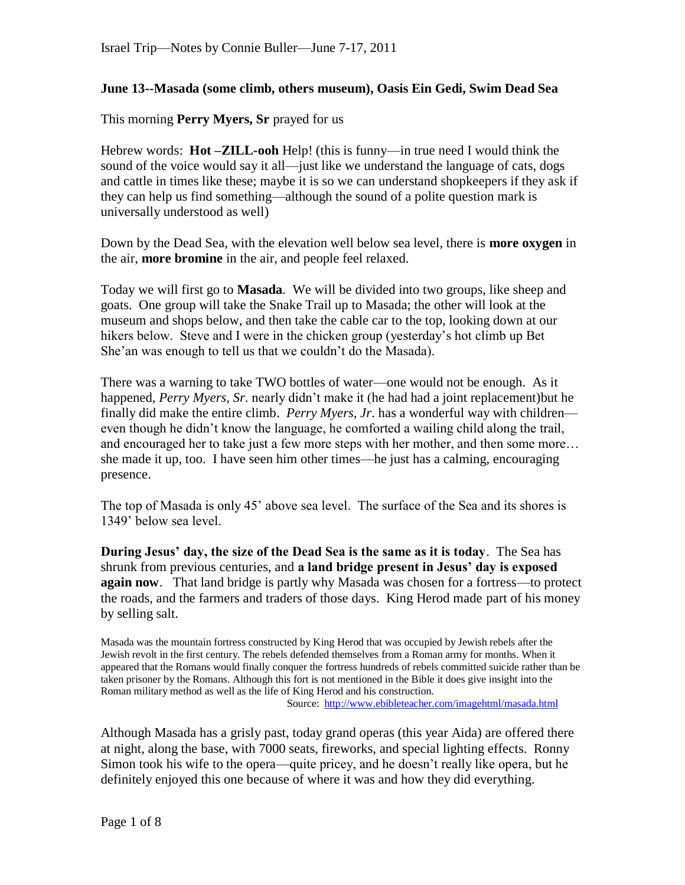## **June 13--Masada (some climb, others museum), Oasis Ein Gedi, Swim Dead Sea**

This morning **Perry Myers, Sr** prayed for us

Hebrew words: **Hot –ZILL-ooh** Help! (this is funny—in true need I would think the sound of the voice would say it all—just like we understand the language of cats, dogs and cattle in times like these; maybe it is so we can understand shopkeepers if they ask if they can help us find something—although the sound of a polite question mark is universally understood as well)

Down by the Dead Sea, with the elevation well below sea level, there is **more oxygen** in the air, **more bromine** in the air, and people feel relaxed.

Today we will first go to **Masada**. We will be divided into two groups, like sheep and goats. One group will take the Snake Trail up to Masada; the other will look at the museum and shops below, and then take the cable car to the top, looking down at our hikers below. Steve and I were in the chicken group (yesterday"s hot climb up Bet She'an was enough to tell us that we couldn't do the Masada).

There was a warning to take TWO bottles of water—one would not be enough. As it happened, *Perry Myers, Sr*. nearly didn"t make it (he had had a joint replacement)but he finally did make the entire climb. *Perry Myers, Jr*. has a wonderful way with children even though he didn"t know the language, he comforted a wailing child along the trail, and encouraged her to take just a few more steps with her mother, and then some more… she made it up, too. I have seen him other times—he just has a calming, encouraging presence.

The top of Masada is only 45" above sea level. The surface of the Sea and its shores is 1349" below sea level.

**During Jesus' day, the size of the Dead Sea is the same as it is today**. The Sea has shrunk from previous centuries, and **a land bridge present in Jesus' day is exposed again now**. That land bridge is partly why Masada was chosen for a fortress—to protect the roads, and the farmers and traders of those days. King Herod made part of his money by selling salt.

Masada was the mountain fortress constructed by King Herod that was occupied by Jewish rebels after the Jewish revolt in the first century. The rebels defended themselves from a Roman army for months. When it appeared that the Romans would finally conquer the fortress hundreds of rebels committed suicide rather than be taken prisoner by the Romans. Although this fort is not mentioned in the Bible it does give insight into the Roman military method as well as the life of King Herod and his construction.

Source: <http://www.ebibleteacher.com/imagehtml/masada.html>

Although Masada has a grisly past, today grand operas (this year Aida) are offered there at night, along the base, with 7000 seats, fireworks, and special lighting effects. Ronny Simon took his wife to the opera—quite pricey, and he doesn"t really like opera, but he definitely enjoyed this one because of where it was and how they did everything.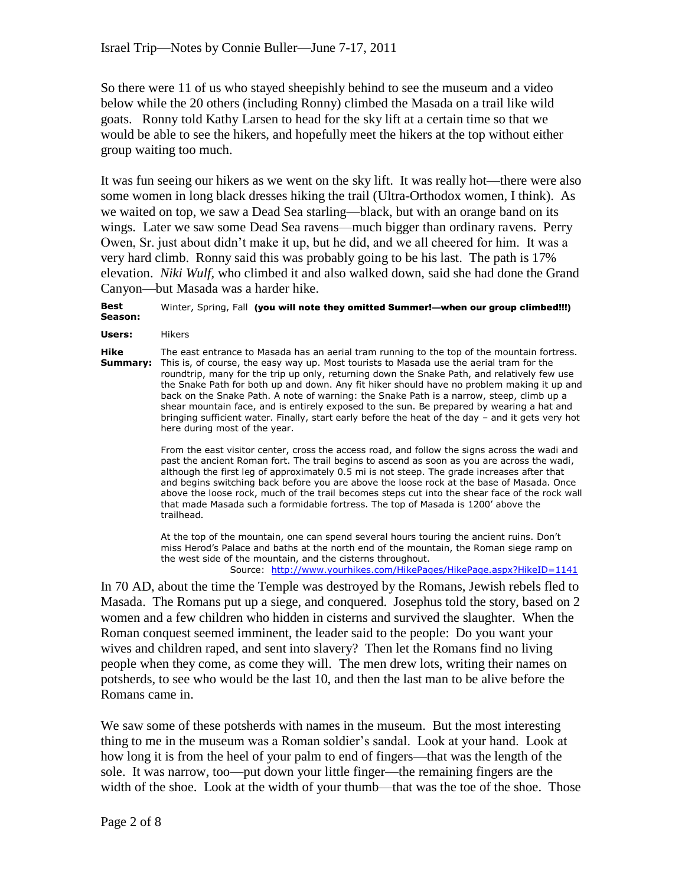So there were 11 of us who stayed sheepishly behind to see the museum and a video below while the 20 others (including Ronny) climbed the Masada on a trail like wild goats. Ronny told Kathy Larsen to head for the sky lift at a certain time so that we would be able to see the hikers, and hopefully meet the hikers at the top without either group waiting too much.

It was fun seeing our hikers as we went on the sky lift. It was really hot—there were also some women in long black dresses hiking the trail (Ultra-Orthodox women, I think). As we waited on top, we saw a Dead Sea starling—black, but with an orange band on its wings. Later we saw some Dead Sea ravens—much bigger than ordinary ravens. Perry Owen, Sr. just about didn"t make it up, but he did, and we all cheered for him. It was a very hard climb. Ronny said this was probably going to be his last. The path is 17% elevation. *Niki Wulf,* who climbed it and also walked down, said she had done the Grand Canyon—but Masada was a harder hike.

## **Best Season:**  Winter, Spring, Fall (you will note they omitted Summer!—when our group climbed!!!)

**Users:** Hikers

**Hike Summary:**  This is, of course, the easy way up. Most tourists to Masada use the aerial tram for the The east entrance to Masada has an aerial tram running to the top of the mountain fortress. roundtrip, many for the trip up only, returning down the Snake Path, and relatively few use the Snake Path for both up and down. Any fit hiker should have no problem making it up and back on the Snake Path. A note of warning: the Snake Path is a narrow, steep, climb up a shear mountain face, and is entirely exposed to the sun. Be prepared by wearing a hat and bringing sufficient water. Finally, start early before the heat of the day – and it gets very hot here during most of the year.

> From the east visitor center, cross the access road, and follow the signs across the wadi and past the ancient Roman fort. The trail begins to ascend as soon as you are across the wadi, although the first leg of approximately 0.5 mi is not steep. The grade increases after that and begins switching back before you are above the loose rock at the base of Masada. Once above the loose rock, much of the trail becomes steps cut into the shear face of the rock wall that made Masada such a formidable fortress. The top of Masada is 1200' above the trailhead.

At the top of the mountain, one can spend several hours touring the ancient ruins. Don't miss Herod's Palace and baths at the north end of the mountain, the Roman siege ramp on the west side of the mountain, and the cisterns throughout.

Source: <http://www.yourhikes.com/HikePages/HikePage.aspx?HikeID=1141>

In 70 AD, about the time the Temple was destroyed by the Romans, Jewish rebels fled to Masada. The Romans put up a siege, and conquered. Josephus told the story, based on 2 women and a few children who hidden in cisterns and survived the slaughter. When the Roman conquest seemed imminent, the leader said to the people: Do you want your wives and children raped, and sent into slavery? Then let the Romans find no living people when they come, as come they will. The men drew lots, writing their names on potsherds, to see who would be the last 10, and then the last man to be alive before the Romans came in.

We saw some of these potsherds with names in the museum. But the most interesting thing to me in the museum was a Roman soldier"s sandal. Look at your hand. Look at how long it is from the heel of your palm to end of fingers—that was the length of the sole. It was narrow, too—put down your little finger—the remaining fingers are the width of the shoe. Look at the width of your thumb—that was the toe of the shoe. Those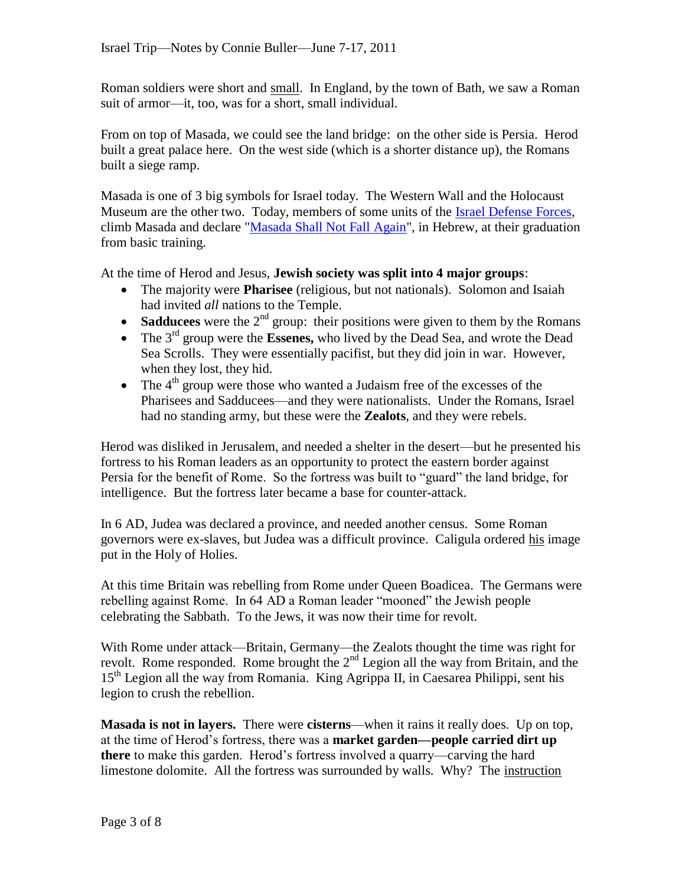Roman soldiers were short and small. In England, by the town of Bath, we saw a Roman suit of armor—it, too, was for a short, small individual.

From on top of Masada, we could see the land bridge: on the other side is Persia. Herod built a great palace here. On the west side (which is a shorter distance up), the Romans built a siege ramp.

Masada is one of 3 big symbols for Israel today. The Western Wall and the Holocaust Museum are the other two. Today, members of some units of the [Israel Defense Forces,](http://en.wikipedia.org/wiki/Israel_Defense_Forces) climb Masada and declare ["Masada Shall Not Fall Again"](http://www.jewishvirtuallibrary.org/jsource/Judaism/masada.html), in Hebrew, at their graduation from basic training.

At the time of Herod and Jesus, **Jewish society was split into 4 major groups**:

- The majority were **Pharisee** (religious, but not nationals). Solomon and Isaiah had invited *all* nations to the Temple.
- **Sadducees** were the  $2<sup>nd</sup>$  group: their positions were given to them by the Romans
- The 3<sup>rd</sup> group were the **Essenes**, who lived by the Dead Sea, and wrote the Dead Sea Scrolls. They were essentially pacifist, but they did join in war. However, when they lost, they hid.
- The  $4<sup>th</sup>$  group were those who wanted a Judaism free of the excesses of the Pharisees and Sadducees—and they were nationalists. Under the Romans, Israel had no standing army, but these were the **Zealots**, and they were rebels.

Herod was disliked in Jerusalem, and needed a shelter in the desert—but he presented his fortress to his Roman leaders as an opportunity to protect the eastern border against Persia for the benefit of Rome. So the fortress was built to "guard" the land bridge, for intelligence. But the fortress later became a base for counter-attack.

In 6 AD, Judea was declared a province, and needed another census. Some Roman governors were ex-slaves, but Judea was a difficult province. Caligula ordered his image put in the Holy of Holies.

At this time Britain was rebelling from Rome under Queen Boadicea. The Germans were rebelling against Rome. In 64 AD a Roman leader "mooned" the Jewish people celebrating the Sabbath. To the Jews, it was now their time for revolt.

With Rome under attack—Britain, Germany—the Zealots thought the time was right for revolt. Rome responded. Rome brought the  $2<sup>nd</sup>$  Legion all the way from Britain, and the 15<sup>th</sup> Legion all the way from Romania. King Agrippa II, in Caesarea Philippi, sent his legion to crush the rebellion.

**Masada is not in layers.** There were **cisterns**—when it rains it really does. Up on top, at the time of Herod"s fortress, there was a **market garden—people carried dirt up there** to make this garden. Herod"s fortress involved a quarry—carving the hard limestone dolomite. All the fortress was surrounded by walls. Why? The instruction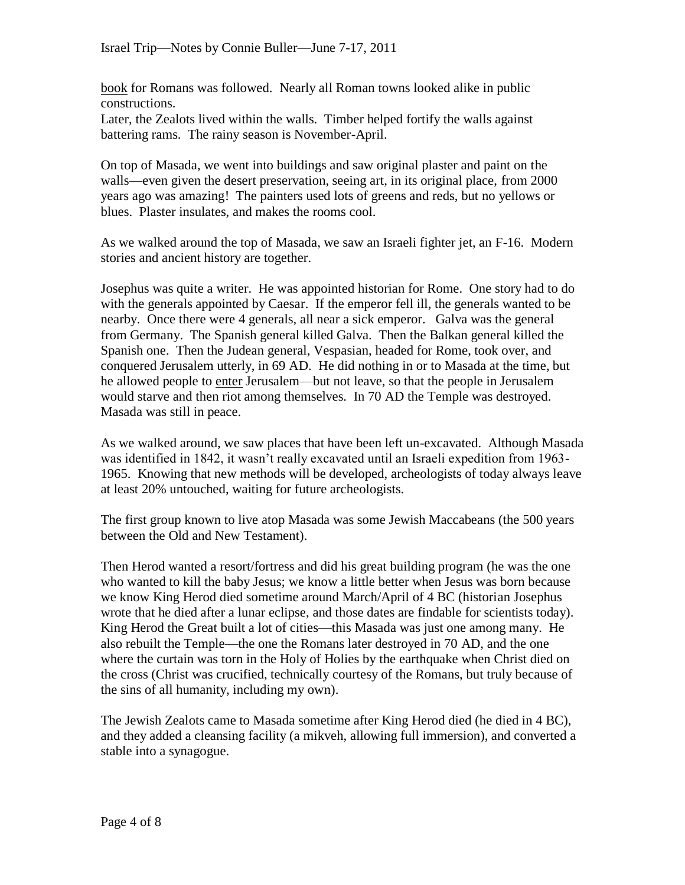book for Romans was followed. Nearly all Roman towns looked alike in public constructions.

Later, the Zealots lived within the walls. Timber helped fortify the walls against battering rams. The rainy season is November-April.

On top of Masada, we went into buildings and saw original plaster and paint on the walls—even given the desert preservation, seeing art, in its original place, from 2000 years ago was amazing! The painters used lots of greens and reds, but no yellows or blues. Plaster insulates, and makes the rooms cool.

As we walked around the top of Masada, we saw an Israeli fighter jet, an F-16. Modern stories and ancient history are together.

Josephus was quite a writer. He was appointed historian for Rome. One story had to do with the generals appointed by Caesar. If the emperor fell ill, the generals wanted to be nearby. Once there were 4 generals, all near a sick emperor. Galva was the general from Germany. The Spanish general killed Galva. Then the Balkan general killed the Spanish one. Then the Judean general, Vespasian, headed for Rome, took over, and conquered Jerusalem utterly, in 69 AD. He did nothing in or to Masada at the time, but he allowed people to enter Jerusalem—but not leave, so that the people in Jerusalem would starve and then riot among themselves. In 70 AD the Temple was destroyed. Masada was still in peace.

As we walked around, we saw places that have been left un-excavated. Although Masada was identified in 1842, it wasn't really excavated until an Israeli expedition from 1963-1965. Knowing that new methods will be developed, archeologists of today always leave at least 20% untouched, waiting for future archeologists.

The first group known to live atop Masada was some Jewish Maccabeans (the 500 years between the Old and New Testament).

Then Herod wanted a resort/fortress and did his great building program (he was the one who wanted to kill the baby Jesus; we know a little better when Jesus was born because we know King Herod died sometime around March/April of 4 BC (historian Josephus wrote that he died after a lunar eclipse, and those dates are findable for scientists today). King Herod the Great built a lot of cities—this Masada was just one among many. He also rebuilt the Temple—the one the Romans later destroyed in 70 AD, and the one where the curtain was torn in the Holy of Holies by the earthquake when Christ died on the cross (Christ was crucified, technically courtesy of the Romans, but truly because of the sins of all humanity, including my own).

The Jewish Zealots came to Masada sometime after King Herod died (he died in 4 BC), and they added a cleansing facility (a mikveh, allowing full immersion), and converted a stable into a synagogue.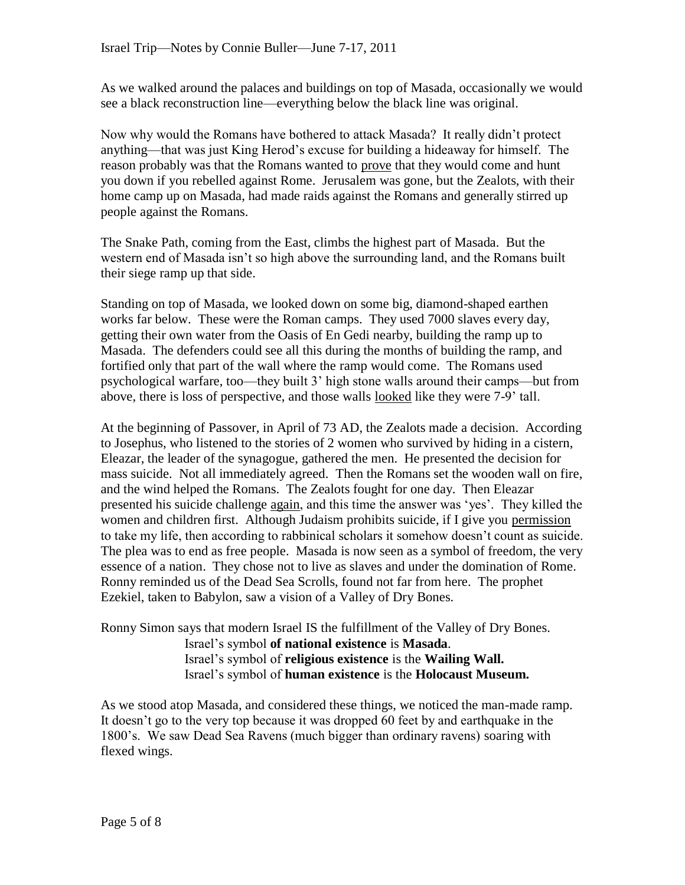As we walked around the palaces and buildings on top of Masada, occasionally we would see a black reconstruction line—everything below the black line was original.

Now why would the Romans have bothered to attack Masada? It really didn"t protect anything—that was just King Herod"s excuse for building a hideaway for himself. The reason probably was that the Romans wanted to prove that they would come and hunt you down if you rebelled against Rome. Jerusalem was gone, but the Zealots, with their home camp up on Masada, had made raids against the Romans and generally stirred up people against the Romans.

The Snake Path, coming from the East, climbs the highest part of Masada. But the western end of Masada isn't so high above the surrounding land, and the Romans built their siege ramp up that side.

Standing on top of Masada, we looked down on some big, diamond-shaped earthen works far below. These were the Roman camps. They used 7000 slaves every day, getting their own water from the Oasis of En Gedi nearby, building the ramp up to Masada. The defenders could see all this during the months of building the ramp, and fortified only that part of the wall where the ramp would come. The Romans used psychological warfare, too—they built 3" high stone walls around their camps—but from above, there is loss of perspective, and those walls looked like they were 7-9" tall.

At the beginning of Passover, in April of 73 AD, the Zealots made a decision. According to Josephus, who listened to the stories of 2 women who survived by hiding in a cistern, Eleazar, the leader of the synagogue, gathered the men. He presented the decision for mass suicide. Not all immediately agreed. Then the Romans set the wooden wall on fire, and the wind helped the Romans. The Zealots fought for one day. Then Eleazar presented his suicide challenge again, and this time the answer was "yes". They killed the women and children first. Although Judaism prohibits suicide, if I give you permission to take my life, then according to rabbinical scholars it somehow doesn"t count as suicide. The plea was to end as free people. Masada is now seen as a symbol of freedom, the very essence of a nation. They chose not to live as slaves and under the domination of Rome. Ronny reminded us of the Dead Sea Scrolls, found not far from here. The prophet Ezekiel, taken to Babylon, saw a vision of a Valley of Dry Bones.

Ronny Simon says that modern Israel IS the fulfillment of the Valley of Dry Bones. Israel"s symbol **of national existence** is **Masada**. Israel"s symbol of **religious existence** is the **Wailing Wall.** Israel"s symbol of **human existence** is the **Holocaust Museum.**

As we stood atop Masada, and considered these things, we noticed the man-made ramp. It doesn"t go to the very top because it was dropped 60 feet by and earthquake in the 1800"s. We saw Dead Sea Ravens (much bigger than ordinary ravens) soaring with flexed wings.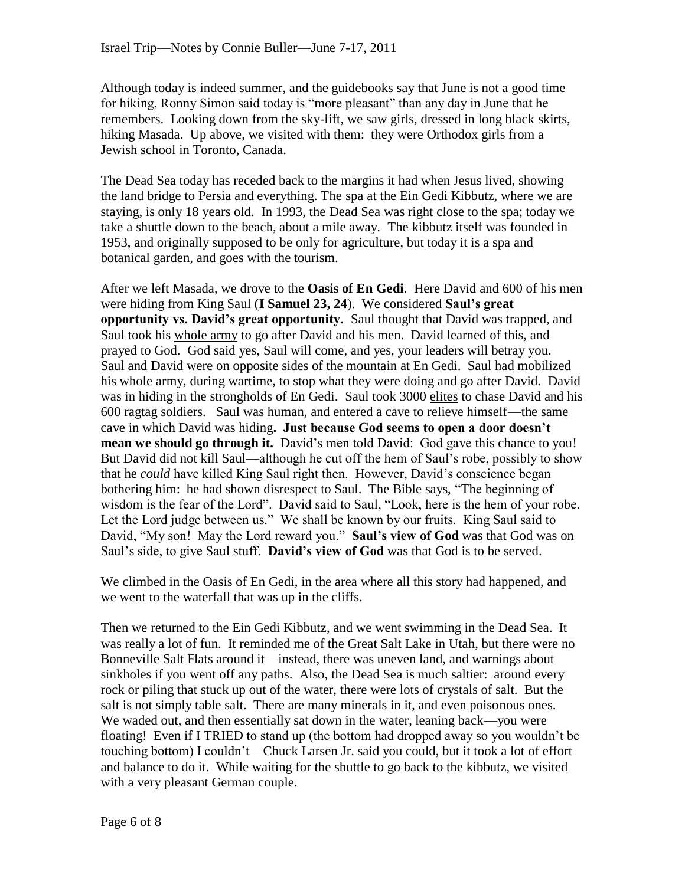Although today is indeed summer, and the guidebooks say that June is not a good time for hiking, Ronny Simon said today is "more pleasant" than any day in June that he remembers. Looking down from the sky-lift, we saw girls, dressed in long black skirts, hiking Masada. Up above, we visited with them: they were Orthodox girls from a Jewish school in Toronto, Canada.

The Dead Sea today has receded back to the margins it had when Jesus lived, showing the land bridge to Persia and everything. The spa at the Ein Gedi Kibbutz, where we are staying, is only 18 years old. In 1993, the Dead Sea was right close to the spa; today we take a shuttle down to the beach, about a mile away. The kibbutz itself was founded in 1953, and originally supposed to be only for agriculture, but today it is a spa and botanical garden, and goes with the tourism.

After we left Masada, we drove to the **Oasis of En Gedi**. Here David and 600 of his men were hiding from King Saul (**I Samuel 23, 24**). We considered **Saul's great opportunity vs. David's great opportunity.** Saul thought that David was trapped, and Saul took his whole army to go after David and his men. David learned of this, and prayed to God. God said yes, Saul will come, and yes, your leaders will betray you. Saul and David were on opposite sides of the mountain at En Gedi. Saul had mobilized his whole army, during wartime, to stop what they were doing and go after David. David was in hiding in the strongholds of En Gedi. Saul took 3000 elites to chase David and his 600 ragtag soldiers. Saul was human, and entered a cave to relieve himself—the same cave in which David was hiding**. Just because God seems to open a door doesn't mean we should go through it.** David's men told David: God gave this chance to you! But David did not kill Saul—although he cut off the hem of Saul"s robe, possibly to show that he *could* have killed King Saul right then. However, David"s conscience began bothering him: he had shown disrespect to Saul. The Bible says, "The beginning of wisdom is the fear of the Lord". David said to Saul, "Look, here is the hem of your robe. Let the Lord judge between us." We shall be known by our fruits. King Saul said to David, "My son! May the Lord reward you." **Saul's view of God** was that God was on Saul"s side, to give Saul stuff. **David's view of God** was that God is to be served.

We climbed in the Oasis of En Gedi, in the area where all this story had happened, and we went to the waterfall that was up in the cliffs.

Then we returned to the Ein Gedi Kibbutz, and we went swimming in the Dead Sea. It was really a lot of fun. It reminded me of the Great Salt Lake in Utah, but there were no Bonneville Salt Flats around it—instead, there was uneven land, and warnings about sinkholes if you went off any paths. Also, the Dead Sea is much saltier: around every rock or piling that stuck up out of the water, there were lots of crystals of salt. But the salt is not simply table salt. There are many minerals in it, and even poisonous ones. We waded out, and then essentially sat down in the water, leaning back—you were floating! Even if I TRIED to stand up (the bottom had dropped away so you wouldn"t be touching bottom) I couldn"t—Chuck Larsen Jr. said you could, but it took a lot of effort and balance to do it. While waiting for the shuttle to go back to the kibbutz, we visited with a very pleasant German couple.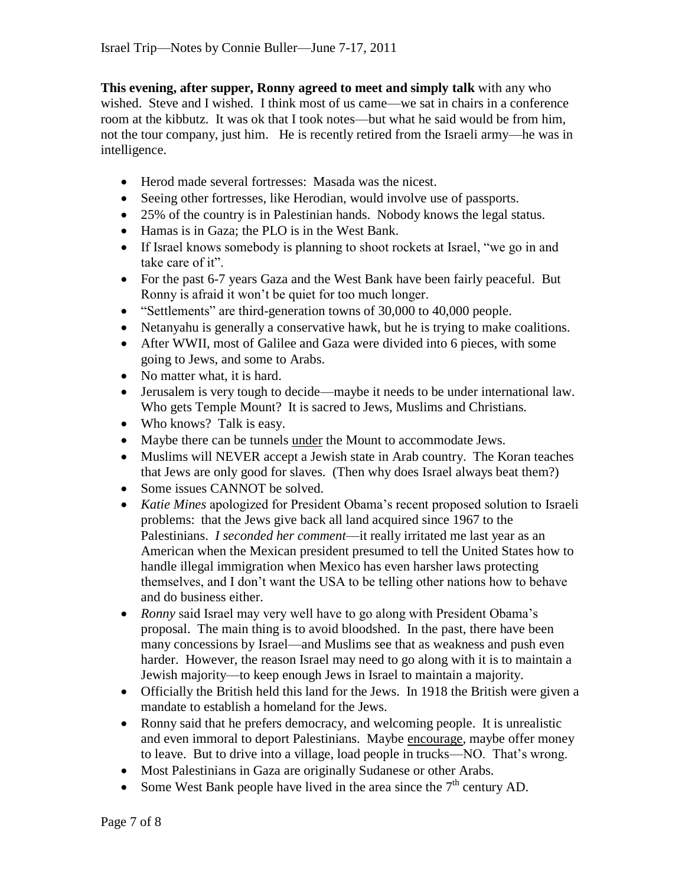**This evening, after supper, Ronny agreed to meet and simply talk** with any who wished. Steve and I wished. I think most of us came—we sat in chairs in a conference room at the kibbutz. It was ok that I took notes—but what he said would be from him, not the tour company, just him. He is recently retired from the Israeli army—he was in intelligence.

- Herod made several fortresses: Masada was the nicest.
- Seeing other fortresses, like Herodian, would involve use of passports.
- 25% of the country is in Palestinian hands. Nobody knows the legal status.
- Hamas is in Gaza; the PLO is in the West Bank.
- If Israel knows somebody is planning to shoot rockets at Israel, "we go in and take care of it".
- For the past 6-7 years Gaza and the West Bank have been fairly peaceful. But Ronny is afraid it won"t be quiet for too much longer.
- "Settlements" are third-generation towns of 30,000 to 40,000 people.
- Netanyahu is generally a conservative hawk, but he is trying to make coalitions.
- After WWII, most of Galilee and Gaza were divided into 6 pieces, with some going to Jews, and some to Arabs.
- No matter what, it is hard.
- Jerusalem is very tough to decide—maybe it needs to be under international law. Who gets Temple Mount? It is sacred to Jews, Muslims and Christians.
- Who knows? Talk is easy.
- Maybe there can be tunnels under the Mount to accommodate Jews.
- Muslims will NEVER accept a Jewish state in Arab country. The Koran teaches that Jews are only good for slaves. (Then why does Israel always beat them?)
- Some issues CANNOT be solved.
- *Katie Mines* apologized for President Obama"s recent proposed solution to Israeli problems: that the Jews give back all land acquired since 1967 to the Palestinians. *I seconded her comment*—it really irritated me last year as an American when the Mexican president presumed to tell the United States how to handle illegal immigration when Mexico has even harsher laws protecting themselves, and I don"t want the USA to be telling other nations how to behave and do business either.
- *Ronny* said Israel may very well have to go along with President Obama's proposal. The main thing is to avoid bloodshed. In the past, there have been many concessions by Israel—and Muslims see that as weakness and push even harder. However, the reason Israel may need to go along with it is to maintain a Jewish majority—to keep enough Jews in Israel to maintain a majority.
- Officially the British held this land for the Jews. In 1918 the British were given a mandate to establish a homeland for the Jews.
- Ronny said that he prefers democracy, and welcoming people. It is unrealistic and even immoral to deport Palestinians. Maybe encourage, maybe offer money to leave. But to drive into a village, load people in trucks—NO. That"s wrong.
- Most Palestinians in Gaza are originally Sudanese or other Arabs.
- Some West Bank people have lived in the area since the  $7<sup>th</sup>$  century AD.